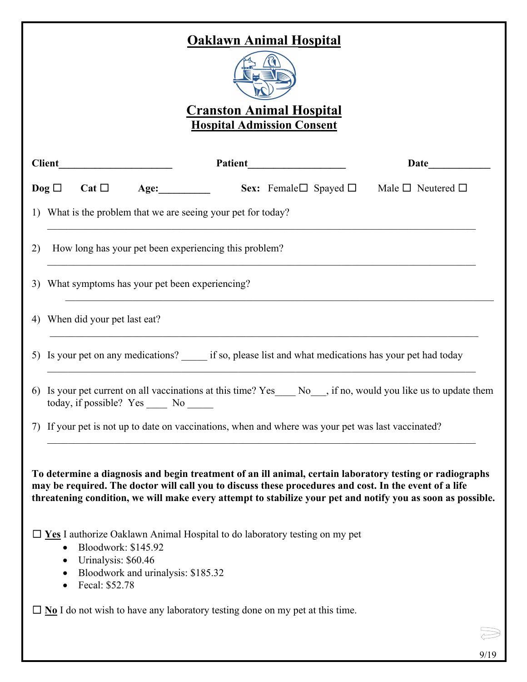| <b>Oaklawn Animal Hospital</b><br><b>Cranston Animal Hospital</b><br><b>Hospital Admission Consent</b>                                                                                                                                                                                                                            |  |  |
|-----------------------------------------------------------------------------------------------------------------------------------------------------------------------------------------------------------------------------------------------------------------------------------------------------------------------------------|--|--|
| <b>Client</b><br>Date                                                                                                                                                                                                                                                                                                             |  |  |
| Age: Sex: Female $\square$ Spayed $\square$ Male $\square$ Neutered $\square$<br>$Cat \Box$<br>$\log \Box$                                                                                                                                                                                                                        |  |  |
| 1) What is the problem that we are seeing your pet for today?                                                                                                                                                                                                                                                                     |  |  |
| How long has your pet been experiencing this problem?<br>2)                                                                                                                                                                                                                                                                       |  |  |
| 3) What symptoms has your pet been experiencing?                                                                                                                                                                                                                                                                                  |  |  |
| 4) When did your pet last eat?                                                                                                                                                                                                                                                                                                    |  |  |
| 5) Is your pet on any medications? ______ if so, please list and what medications has your pet had today                                                                                                                                                                                                                          |  |  |
| Is your pet current on all vaccinations at this time? Yes _____ No____, if no, would you like us to update them<br>6)<br>today, if possible? Yes<br>No                                                                                                                                                                            |  |  |
| 7) If your pet is not up to date on vaccinations, when and where was your pet was last vaccinated?                                                                                                                                                                                                                                |  |  |
| To determine a diagnosis and begin treatment of an ill animal, certain laboratory testing or radiographs<br>may be required. The doctor will call you to discuss these procedures and cost. In the event of a life<br>threatening condition, we will make every attempt to stabilize your pet and notify you as soon as possible. |  |  |
| $\Box$ Yes I authorize Oaklawn Animal Hospital to do laboratory testing on my pet<br>Bloodwork: \$145.92<br>Urinalysis: \$60.46<br>$\bullet$<br>Bloodwork and urinalysis: \$185.32<br>$\bullet$<br>Fecal: \$52.78<br>$\bullet$                                                                                                    |  |  |
| $\Box$ No I do not wish to have any laboratory testing done on my pet at this time.                                                                                                                                                                                                                                               |  |  |
|                                                                                                                                                                                                                                                                                                                                   |  |  |